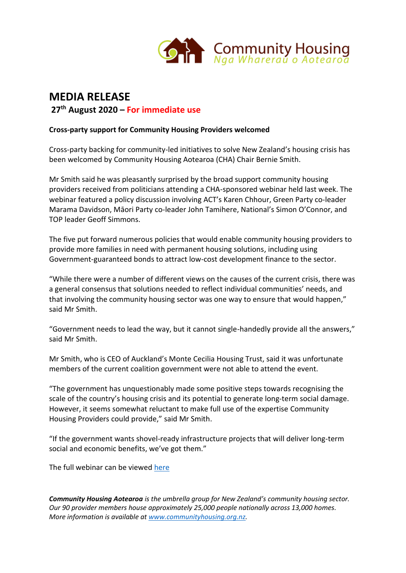

# **MEDIA RELEASE**

**27th August 2020 – For immediate use**

## **Cross-party support for Community Housing Providers welcomed**

Cross-party backing for community-led initiatives to solve New Zealand's housing crisis has been welcomed by Community Housing Aotearoa (CHA) Chair Bernie Smith.

Mr Smith said he was pleasantly surprised by the broad support community housing providers received from politicians attending a CHA-sponsored webinar held last week. The webinar featured a policy discussion involving ACT's Karen Chhour, Green Party co-leader Marama Davidson, Māori Party co-leader John Tamihere, National's Simon O'Connor, and TOP leader Geoff Simmons.

The five put forward numerous policies that would enable community housing providers to provide more families in need with permanent housing solutions, including using Government-guaranteed bonds to attract low-cost development finance to the sector.

"While there were a number of different views on the causes of the current crisis, there was a general consensus that solutions needed to reflect individual communities' needs, and that involving the community housing sector was one way to ensure that would happen," said Mr Smith.

"Government needs to lead the way, but it cannot single-handedly provide all the answers," said Mr Smith.

Mr Smith, who is CEO of Auckland's Monte Cecilia Housing Trust, said it was unfortunate members of the current coalition government were not able to attend the event.

"The government has unquestionably made some positive steps towards recognising the scale of the country's housing crisis and its potential to generate long-term social damage. However, it seems somewhat reluctant to make full use of the expertise Community Housing Providers could provide," said Mr Smith.

"If the government wants shovel-ready infrastructure projects that will deliver long-term social and economic benefits, we've got them."

The full webinar can be viewed [here](https://www.youtube.com/watch?v=b1FRRdRuf5w&t=20s)

*Community Housing Aotearoa is the umbrella group for New Zealand's community housing sector. Our 90 provider members house approximately 25,000 people nationally across 13,000 homes. More information is available at [www.communityhousing.org.nz.](http://www.communityhousing.org.nz/)*